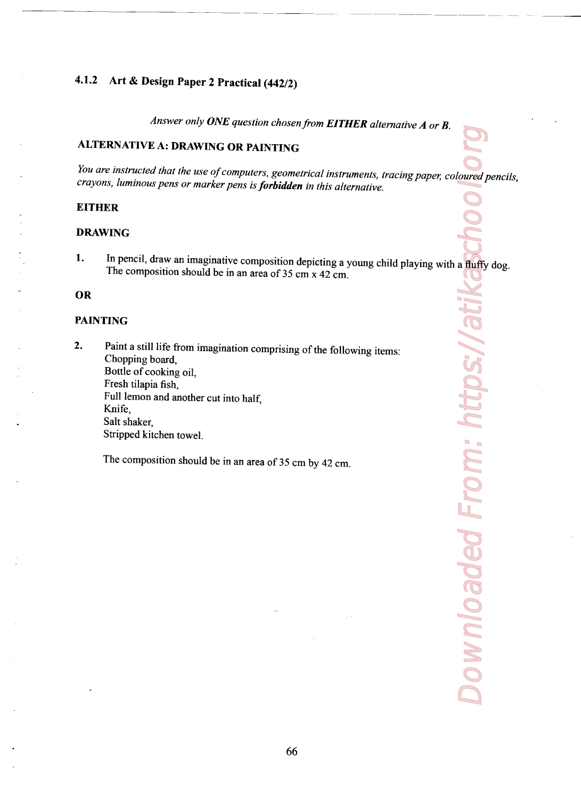# 4.1.2 Art & Design Paper 2 Practical (442/2)

Answer only ONE question chosen from EITHER alternative  $A$  or  $B$ .

## ALTERNATIVE A: DRAWING 0R PAINTING

You are instructed that the use of computers, geometrical instruments, tracing paper, coloured pencils, crayons, luminous pens or marker pens is **forbidden** in this alternative.

#### **EITHER**

#### DRAWING

1. In pencil, draw an imaginative composition depicting a young child playing with a fluffy dog. The composition should be in an area of 35 cm x 42 cm.

#### 0R

#### PAINTING

2. Paint a still life from imagination comprising of the following items:<br>Chopping board, Bottle of cooking oil, Fresh tilapia fish, Full lemon and another cut into half, Knife, Salt shaker, Stripped kitchen towel.

The composition should be in an area of 35 cm by 42 cm.

Downloaded From: https://atikaschoolsorg Downloaded From: https://atil